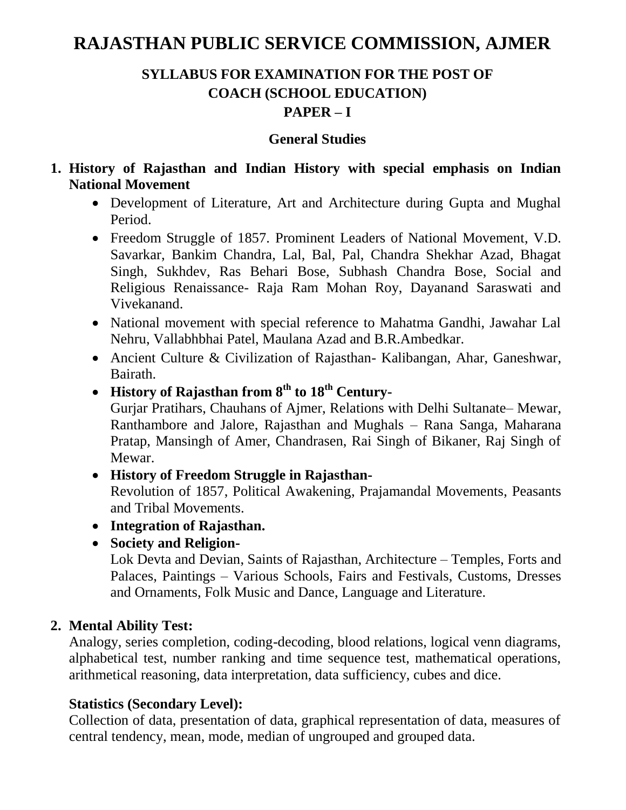# **RAJASTHAN PUBLIC SERVICE COMMISSION, AJMER**

## **SYLLABUS FOR EXAMINATION FOR THE POST OF COACH (SCHOOL EDUCATION) PAPER – I**

#### **General Studies**

- **1. History of Rajasthan and Indian History with special emphasis on Indian National Movement** 
	- Development of Literature, Art and Architecture during Gupta and Mughal Period.
	- Freedom Struggle of 1857. Prominent Leaders of National Movement, V.D. Savarkar, Bankim Chandra, Lal, Bal, Pal, Chandra Shekhar Azad, Bhagat Singh, Sukhdev, Ras Behari Bose, Subhash Chandra Bose, Social and Religious Renaissance- Raja Ram Mohan Roy, Dayanand Saraswati and Vivekanand.
	- National movement with special reference to Mahatma Gandhi, Jawahar Lal Nehru, Vallabhbhai Patel, Maulana Azad and B.R.Ambedkar.
	- Ancient Culture & Civilization of Rajasthan- Kalibangan, Ahar, Ganeshwar, Bairath.
	- **History of Rajasthan from 8th to 18th Century-**

Gurjar Pratihars, Chauhans of Ajmer, Relations with Delhi Sultanate– Mewar, Ranthambore and Jalore, Rajasthan and Mughals – Rana Sanga, Maharana Pratap, Mansingh of Amer, Chandrasen, Rai Singh of Bikaner, Raj Singh of Mewar.

- **History of Freedom Struggle in Rajasthan-**Revolution of 1857, Political Awakening, Prajamandal Movements, Peasants and Tribal Movements.
- **Integration of Rajasthan.**
- **Society and Religion-**

Lok Devta and Devian, Saints of Rajasthan, Architecture – Temples, Forts and Palaces, Paintings – Various Schools, Fairs and Festivals, Customs, Dresses and Ornaments, Folk Music and Dance, Language and Literature.

#### **2. Mental Ability Test:**

Analogy, series completion, coding-decoding, blood relations, logical venn diagrams, alphabetical test, number ranking and time sequence test, mathematical operations, arithmetical reasoning, data interpretation, data sufficiency, cubes and dice.

#### **Statistics (Secondary Level):**

Collection of data, presentation of data, graphical representation of data, measures of central tendency, mean, mode, median of ungrouped and grouped data.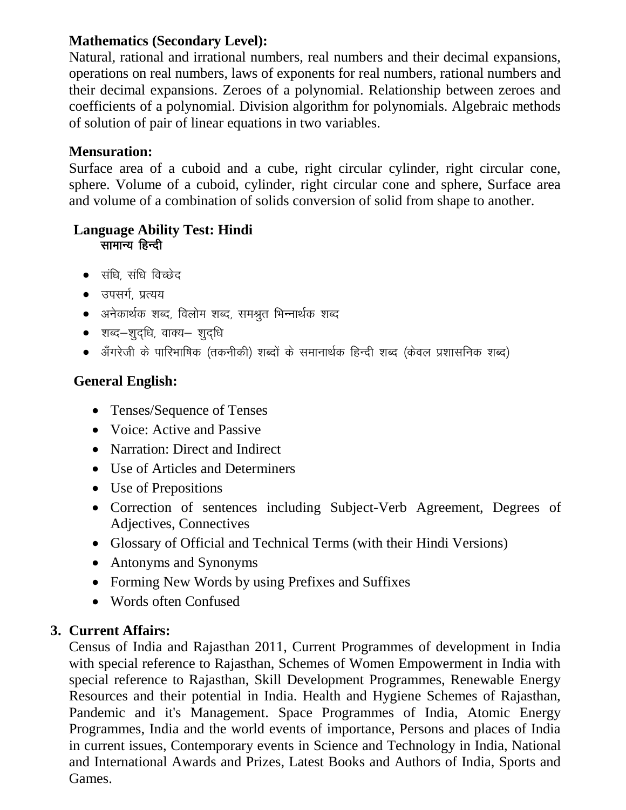#### **Mathematics (Secondary Level):**

Natural, rational and irrational numbers, real numbers and their decimal expansions, operations on real numbers, laws of exponents for real numbers, rational numbers and their decimal expansions. Zeroes of a polynomial. Relationship between zeroes and coefficients of a polynomial. Division algorithm for polynomials. Algebraic methods of solution of pair of linear equations in two variables.

### **Mensuration:**

Surface area of a cuboid and a cube, right circular cylinder, right circular cone, sphere. Volume of a cuboid, cylinder, right circular cone and sphere, Surface area and volume of a combination of solids conversion of solid from shape to another.

#### **Language Ability Test: Hindi**  सामान्य हिन्दी

- $\bullet$  संधि, संधि विच्छेद
- उपसर्ग, प्रत्यय
- $\bullet$  अनेकार्थक शब्द, विलोम शब्द, समश्रुत भिन्नार्थक शब्द
- $\bullet$  शब्द-शुदधि, वाक्य- शुदधि
- $\bullet$  अँगरेजी के पारिभाषिक (तकनीकी) शब्दों के समानार्थक हिन्दी शब्द (केवल प्रशासनिक शब्द)

## **General English:**

- Tenses/Sequence of Tenses
- Voice: Active and Passive
- Narration: Direct and Indirect
- Use of Articles and Determiners
- Use of Prepositions
- Correction of sentences including Subject-Verb Agreement, Degrees of Adjectives, Connectives
- Glossary of Official and Technical Terms (with their Hindi Versions)
- Antonyms and Synonyms
- Forming New Words by using Prefixes and Suffixes
- Words often Confused

#### **3. Current Affairs:**

Census of India and Rajasthan 2011, Current Programmes of development in India with special reference to Rajasthan, Schemes of Women Empowerment in India with special reference to Rajasthan, Skill Development Programmes, Renewable Energy Resources and their potential in India. Health and Hygiene Schemes of Rajasthan, Pandemic and it's Management. Space Programmes of India, Atomic Energy Programmes, India and the world events of importance, Persons and places of India in current issues, Contemporary events in Science and Technology in India, National and International Awards and Prizes, Latest Books and Authors of India, Sports and Games.